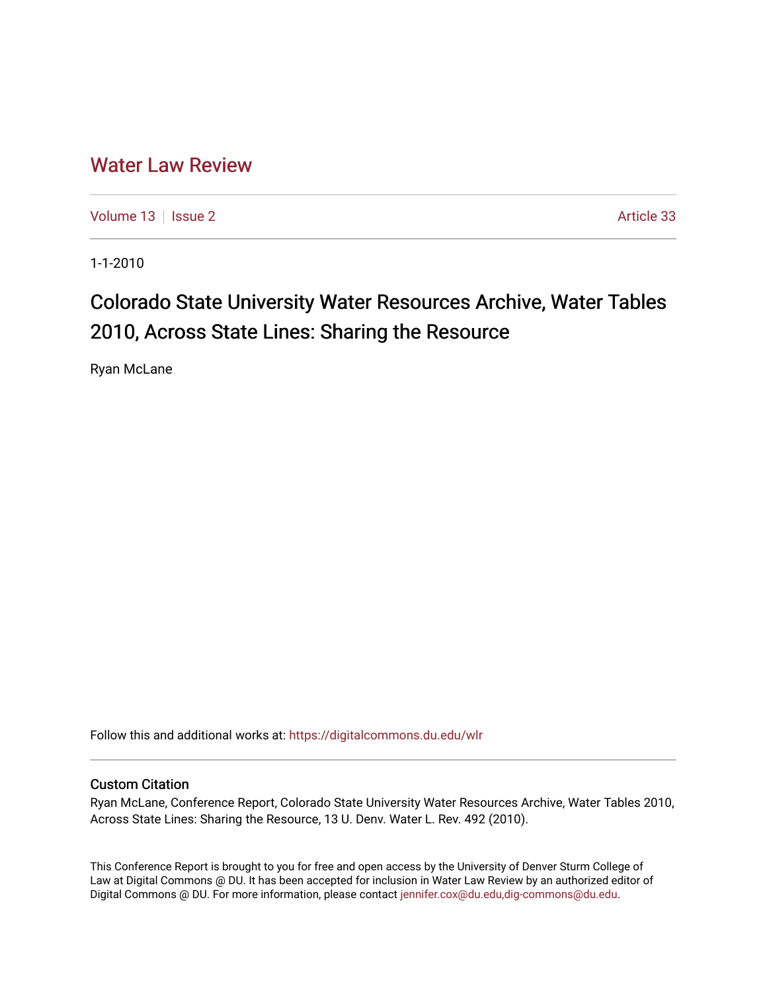## [Water Law Review](https://digitalcommons.du.edu/wlr)

[Volume 13](https://digitalcommons.du.edu/wlr/vol13) | [Issue 2](https://digitalcommons.du.edu/wlr/vol13/iss2) Article 33

1-1-2010

# Colorado State University Water Resources Archive, Water Tables 2010, Across State Lines: Sharing the Resource

Ryan McLane

Follow this and additional works at: [https://digitalcommons.du.edu/wlr](https://digitalcommons.du.edu/wlr?utm_source=digitalcommons.du.edu%2Fwlr%2Fvol13%2Fiss2%2F33&utm_medium=PDF&utm_campaign=PDFCoverPages) 

## Custom Citation

Ryan McLane, Conference Report, Colorado State University Water Resources Archive, Water Tables 2010, Across State Lines: Sharing the Resource, 13 U. Denv. Water L. Rev. 492 (2010).

This Conference Report is brought to you for free and open access by the University of Denver Sturm College of Law at Digital Commons @ DU. It has been accepted for inclusion in Water Law Review by an authorized editor of Digital Commons @ DU. For more information, please contact [jennifer.cox@du.edu,dig-commons@du.edu](mailto:jennifer.cox@du.edu,dig-commons@du.edu).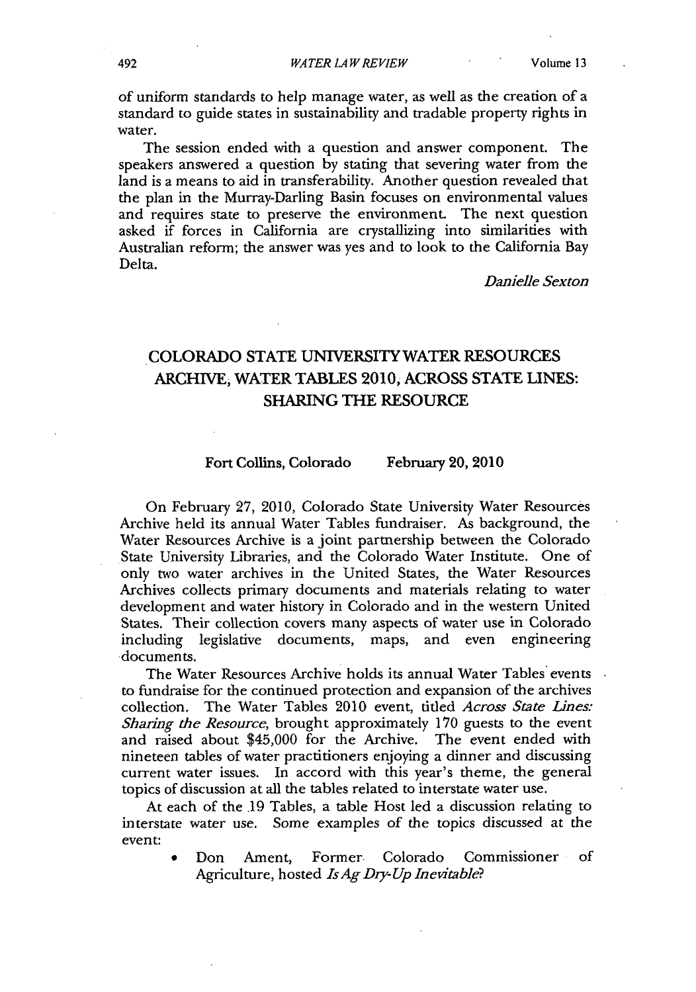of uniform standards to help manage water, as well as the creation of a standard to guide states in sustainability and tradable property rights in water.

The session ended with a question and answer component. The speakers answered a question by stating that severing water from the land is a means to aid in transferability. Another question revealed that the plan in the Murray-Darling Basin focuses on environmental values and requires state to preserve the environment. The next question asked if forces in California are crystallizing into similarities with Australian reform; the answer was yes and to look to the California Bay Delta.

*Danielle Sexton*

## COLORADO STATE UNIVERSITY WATER RESOURCES ARCHIVE, WATER TABLES 2010, ACROSS STATE LINES: SHARING THE RESOURCE

### Fort Collins, Colorado February 20, 2010

On February 27, 2010, Colorado State University Water Resources Archive held its annual Water Tables fundraiser. As background, the Water Resources Archive is a joint partnership between the Colorado State University Libraries, and the Colorado Water Institute. One of only two water archives in the United States, the Water Resources Archives collects primary documents and materials relating to water development and water history in Colorado and in the western United States. Their collection covers many aspects of water use in Colorado including legislative documents, maps, and even engineering documents.

The Water Resources Archive holds its annual Water Tables events to fundraise for the continued protection and expansion of the archives collection. The Water Tables 2010 event, titled *Across State Lines: Sharing the Resource,* brought approximately 170 guests to the event and raised about \$45,000 for the Archive. The event ended with nineteen tables of water practitioners enjoying a dinner and discussing current water issues. In accord with this year's theme, the general topics of discussion at all the tables related to interstate water use.

At each of the **.19** Tables, a table Host led a discussion relating to interstate water use. Some examples of the topics discussed at the event:

> Don Ament, Former. Colorado Commissioner of Agriculture, hosted *Is Ag Dry-Up Inevitable?*